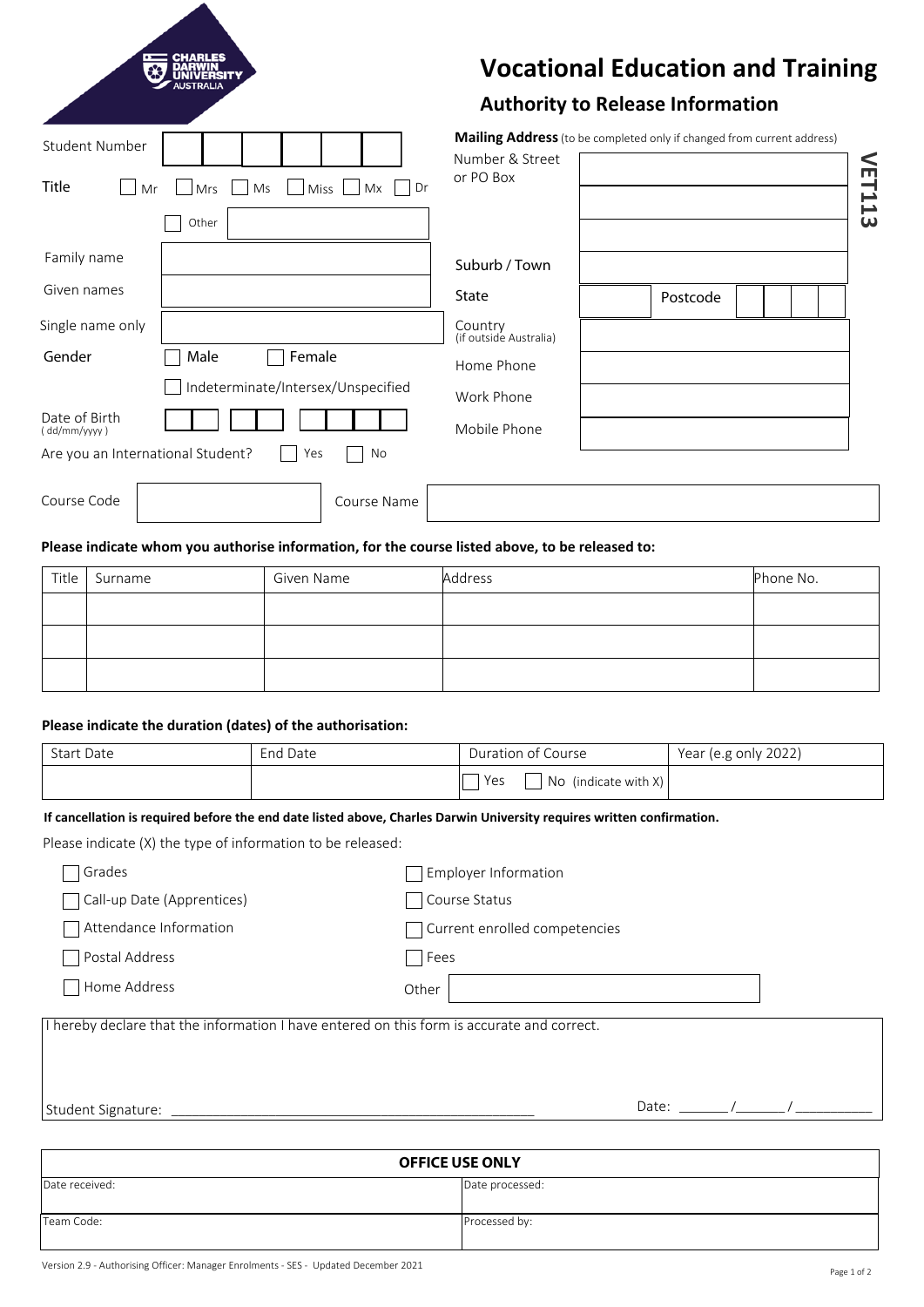|                                                                                    | <b>Vocational Education and Training</b><br><b>Authority to Release Information</b>                           |        |
|------------------------------------------------------------------------------------|---------------------------------------------------------------------------------------------------------------|--------|
| Student Number<br><b>Title</b><br>Ms<br><b>Miss</b><br>Mx<br>Dr<br>Mrs<br>Mr       | <b>Mailing Address</b> (to be completed only if changed from current address)<br>Number & Street<br>or PO Box | VET113 |
| Other<br>Family name<br>Given names                                                | Suburb / Town<br>State<br>Postcode                                                                            |        |
| Single name only<br>Female<br>Gender<br>Male<br>Indeterminate/Intersex/Unspecified | Country<br>(if outside Australia)<br>Home Phone<br>Work Phone                                                 |        |
| Date of Birth<br>(dd/mm/yyyy)<br>Are you an International Student?<br>No<br>Yes    | Mobile Phone                                                                                                  |        |
| Course Code<br>Course Name                                                         |                                                                                                               |        |

# **Please indicate whom you authorise information, for the course listed above, to be released to:**

| Title | Surname | Given Name | Address | Phone No. |
|-------|---------|------------|---------|-----------|
|       |         |            |         |           |
|       |         |            |         |           |
|       |         |            |         |           |

# **Please indicate the duration (dates) of the authorisation:**

N

| <b>Start Date</b> | End Date | Duration of Course          | Year (e.g only 2022) |
|-------------------|----------|-----------------------------|----------------------|
|                   |          | Yes<br>No (indicate with X) |                      |

#### **If cancellation is required before the end date listed above, Charles Darwin University requires written confirmation.**

Please indicate (X) the type of information to be released:

| Grades                                                                                     | <b>Employer Information</b>   |  |
|--------------------------------------------------------------------------------------------|-------------------------------|--|
| Call-up Date (Apprentices)                                                                 | Course Status                 |  |
| Attendance Information                                                                     | Current enrolled competencies |  |
| Postal Address                                                                             | Fees                          |  |
| Home Address                                                                               | Other                         |  |
| I hereby declare that the information I have entered on this form is accurate and correct. |                               |  |
| Student Signature: ___________                                                             | Date: $\sqrt{2}$              |  |
|                                                                                            |                               |  |
| <b>OFFICE USE ONLY</b>                                                                     |                               |  |

| <b>UFFILE USE UNLY</b> |                 |
|------------------------|-----------------|
| Date received:         | Date processed: |
|                        |                 |
| Team Code:             | Processed by:   |
|                        |                 |